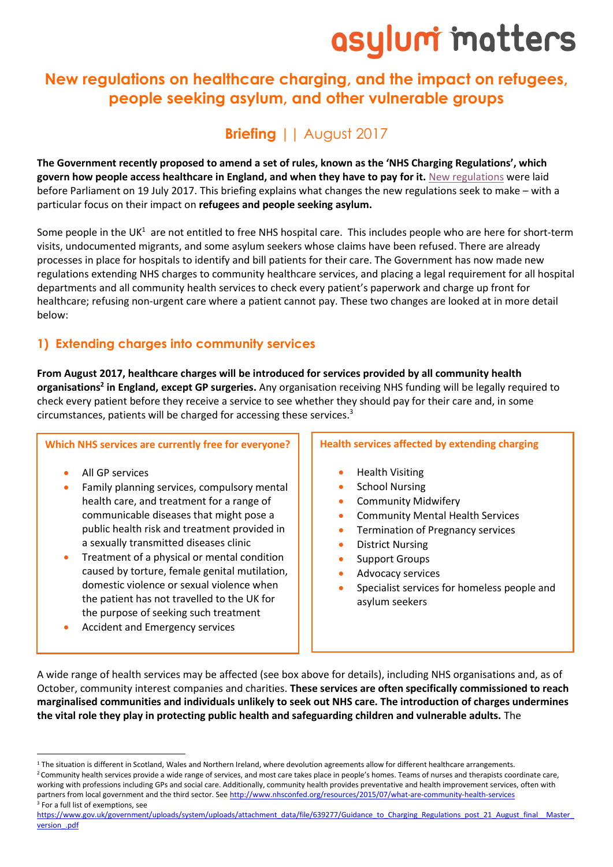# asylum matters

## **New regulations on healthcare charging, and the impact on refugees, people seeking asylum, and other vulnerable groups**

# **Briefing** || August 2017

**The Government recently proposed to amend a set of rules, known as the 'NHS Charging Regulations', which govern how people access healthcare in England, and when they have to pay for it.** [New regulations](http://www.legislation.gov.uk/uksi/2017/756/contents/made) were laid before Parliament on 19 July 2017. This briefing explains what changes the new regulations seek to make – with a particular focus on their impact on **refugees and people seeking asylum.**

Some people in the UK<sup>1</sup> are not entitled to free NHS hospital care. This includes people who are here for short-term visits, undocumented migrants, and some asylum seekers whose claims have been refused. There are already processes in place for hospitals to identify and bill patients for their care. The Government has now made new regulations extending NHS charges to community healthcare services, and placing a legal requirement for all hospital departments and all community health services to check every patient's paperwork and charge up front for healthcare; refusing non-urgent care where a patient cannot pay. These two changes are looked at in more detail below:

## **1) Extending charges into community services**

**From August 2017, healthcare charges will be introduced for services provided by all community health organisations<sup>2</sup> in England, except GP surgeries.** Any organisation receiving NHS funding will be legally required to check every patient before they receive a service to see whether they should pay for their care and, in some circumstances, patients will be charged for accessing these services.<sup>3</sup>

#### **Which NHS services are currently free for everyone?**

• All GP services

1

- Family planning services, compulsory mental health care, and treatment for a range of communicable diseases that might pose a public health risk and treatment provided in a sexually transmitted diseases clinic
- Treatment of a physical or mental condition caused by torture, female genital mutilation, domestic violence or sexual violence when the patient has not travelled to the UK for the purpose of seeking such treatment
- Accident and Emergency services

### **Health services affected by extending charging**

- Health Visiting
- School Nursing
- Community Midwifery
- Community Mental Health Services
- Termination of Pregnancy services
- District Nursing
- Support Groups
- Advocacy services
- Specialist services for homeless people and asylum seekers

A wide range of health services may be affected (see box above for details), including NHS organisations and, as of October, community interest companies and charities. **These services are often specifically commissioned to reach marginalised communities and individuals unlikely to seek out NHS care. The introduction of charges undermines the vital role they play in protecting public health and safeguarding children and vulnerable adults.** The

[https://www.gov.uk/government/uploads/system/uploads/attachment\\_data/file/639277/Guidance\\_to\\_Charging\\_Regulations\\_post\\_21\\_August\\_final\\_\\_Master\\_](https://www.gov.uk/government/uploads/system/uploads/attachment_data/file/639277/Guidance_to_Charging_Regulations_post_21_August_final__Master_version_.pdf) version .pdf

<sup>&</sup>lt;sup>1</sup> The situation is different in Scotland, Wales and Northern Ireland, where devolution agreements allow for different healthcare arrangements. <sup>2</sup> Community health services provide a wide range of services, and most care takes place in people's homes. Teams of nurses and therapists coordinate care,

working with professions including GPs and social care. Additionally, community health provides preventative and health improvement services, often with partners from local government and the third sector. Se[e http://www.nhsconfed.org/resources/2015/07/what-are-community-health-services](http://www.nhsconfed.org/resources/2015/07/what-are-community-health-services) <sup>3</sup> For a full list of exemptions, see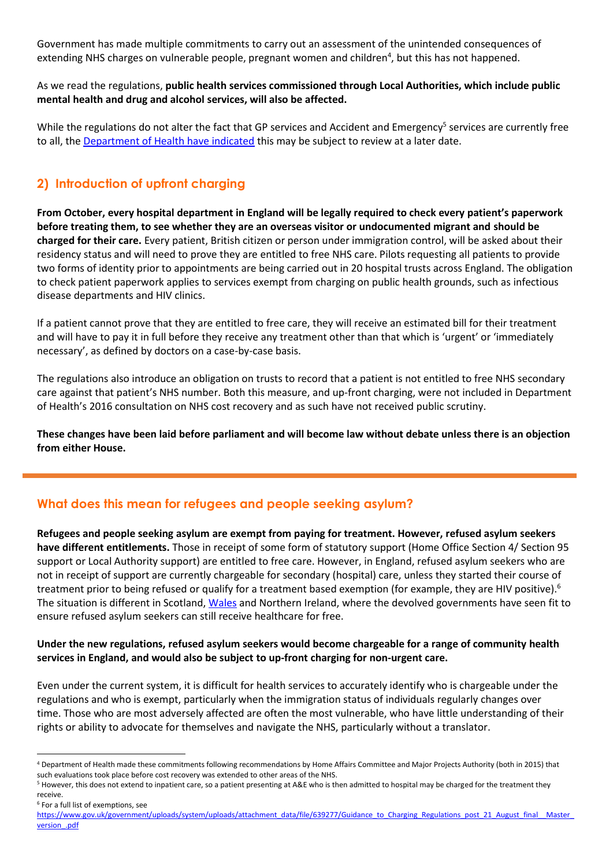Government has made multiple commitments to carry out an assessment of the unintended consequences of extending NHS charges on vulnerable people, pregnant women and children<sup>4</sup>, but this has not happened.

### As we read the regulations, **public health services commissioned through Local Authorities, which include public mental health and drug and alcohol services, will also be affected.**

While the regulations do not alter the fact that GP services and Accident and Emergency<sup>5</sup> services are currently free to all, the [Department of Health have indicated](https://www.gov.uk/government/uploads/system/uploads/attachment_data/file/590027/Cons_Response_cost_recovery.pdf) this may be subject to review at a later date.

## **2) Introduction of upfront charging**

**From October, every hospital department in England will be legally required to check every patient's paperwork before treating them, to see whether they are an overseas visitor or undocumented migrant and should be charged for their care.** Every patient, British citizen or person under immigration control, will be asked about their residency status and will need to prove they are entitled to free NHS care. Pilots requesting all patients to provide two forms of identity prior to appointments are being carried out in 20 hospital trusts across England. The obligation to check patient paperwork applies to services exempt from charging on public health grounds, such as infectious disease departments and HIV clinics.

If a patient cannot prove that they are entitled to free care, they will receive an estimated bill for their treatment and will have to pay it in full before they receive any treatment other than that which is 'urgent' or 'immediately necessary', as defined by doctors on a case-by-case basis.

The regulations also introduce an obligation on trusts to record that a patient is not entitled to free NHS secondary care against that patient's NHS number. Both this measure, and up-front charging, were not included in Department of Health's 2016 consultation on NHS cost recovery and as such have not received public scrutiny.

**These changes have been laid before parliament and will become law without debate unless there is an objection from either House.**

## **What does this mean for refugees and people seeking asylum?**

**Refugees and people seeking asylum are exempt from paying for treatment. However, refused asylum seekers have different entitlements.** Those in receipt of some form of statutory support (Home Office Section 4/ Section 95 support or Local Authority support) are entitled to free care. However, in England, refused asylum seekers who are not in receipt of support are currently chargeable for secondary (hospital) care, unless they started their course of treatment prior to being refused or qualify for a treatment based exemption (for example, they are HIV positive).<sup>6</sup> The situation is different in Scotland[, Wales](http://www.compas.ox.ac.uk/media/WalesBriefing-Access_to_Healthcare.pdf) and Northern Ireland, where the devolved governments have seen fit to ensure refused asylum seekers can still receive healthcare for free.

### **Under the new regulations, refused asylum seekers would become chargeable for a range of community health services in England, and would also be subject to up-front charging for non-urgent care.**

Even under the current system, it is difficult for health services to accurately identify who is chargeable under the regulations and who is exempt, particularly when the immigration status of individuals regularly changes over time. Those who are most adversely affected are often the most vulnerable, who have little understanding of their rights or ability to advocate for themselves and navigate the NHS, particularly without a translator.

1

<sup>4</sup> Department of Health made these commitments following recommendations by Home Affairs Committee and Major Projects Authority (both in 2015) that such evaluations took place before cost recovery was extended to other areas of the NHS.

<sup>&</sup>lt;sup>5</sup> However, this does not extend to inpatient care, so a patient presenting at A&E who is then admitted to hospital may be charged for the treatment they receive.

<sup>6</sup> For a full list of exemptions, see

https://www.gov.uk/government/uploads/system/uploads/attachment\_data/file/639277/Guidance\_to\_Charging\_Regulations\_post\_21\_August\_final\_\_Master version .pdf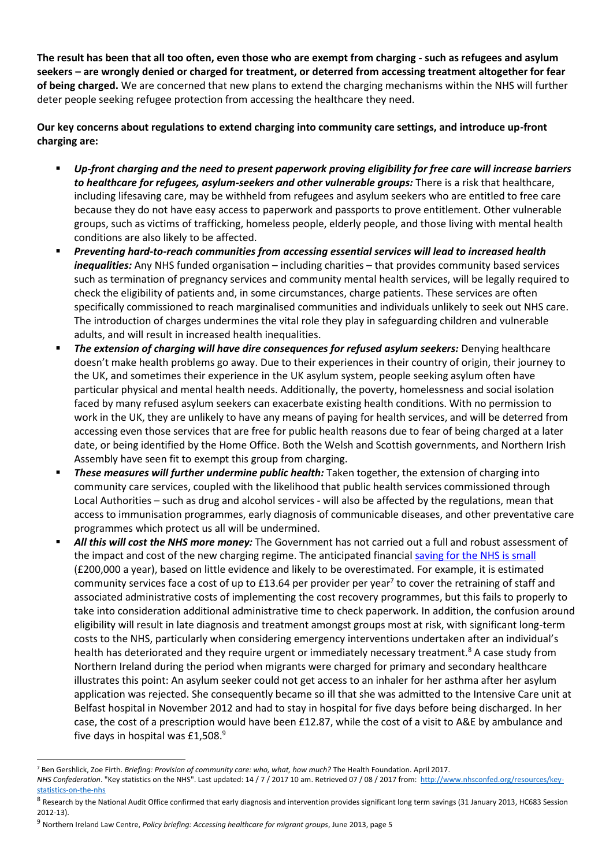**The result has been that all too often, even those who are exempt from charging - such as refugees and asylum seekers – are wrongly denied or charged for treatment, or deterred from accessing treatment altogether for fear of being charged.** We are concerned that new plans to extend the charging mechanisms within the NHS will further deter people seeking refugee protection from accessing the healthcare they need.

**Our key concerns about regulations to extend charging into community care settings, and introduce up-front charging are:**

- Up-front charging and the need to present paperwork proving eligibility for free care will increase barriers *to healthcare for refugees, asylum-seekers and other vulnerable groups:* There is a risk that healthcare, including lifesaving care, may be withheld from refugees and asylum seekers who are entitled to free care because they do not have easy access to paperwork and passports to prove entitlement. Other vulnerable groups, such as victims of trafficking, homeless people, elderly people, and those living with mental health conditions are also likely to be affected.
- *Preventing hard-to-reach communities from accessing essential services will lead to increased health inequalities:* Any NHS funded organisation – including charities – that provides community based services such as termination of pregnancy services and community mental health services, will be legally required to check the eligibility of patients and, in some circumstances, charge patients. These services are often specifically commissioned to reach marginalised communities and individuals unlikely to seek out NHS care. The introduction of charges undermines the vital role they play in safeguarding children and vulnerable adults, and will result in increased health inequalities.
- The extension of charging will have dire consequences for refused asylum seekers: Denying healthcare doesn't make health problems go away. Due to their experiences in their country of origin, their journey to the UK, and sometimes their experience in the UK asylum system, people seeking asylum often have particular physical and mental health needs. Additionally, the poverty, homelessness and social isolation faced by many refused asylum seekers can exacerbate existing health conditions. With no permission to work in the UK, they are unlikely to have any means of paying for health services, and will be deterred from accessing even those services that are free for public health reasons due to fear of being charged at a later date, or being identified by the Home Office. Both the Welsh and Scottish governments, and Northern Irish Assembly have seen fit to exempt this group from charging.
- **These measures will further undermine public health:** Taken together, the extension of charging into community care services, coupled with the likelihood that public health services commissioned through Local Authorities – such as drug and alcohol services - will also be affected by the regulations, mean that access to immunisation programmes, early diagnosis of communicable diseases, and other preventative care programmes which protect us all will be undermined.
- All this will cost the NHS more money: The Government has not carried out a full and robust assessment of the impact and cost of the new charging regime. The anticipated financial [saving for the NHS is small](https://www.gov.uk/government/uploads/system/uploads/attachment_data/file/630516/Cost_Recovery_IA.pdf) (£200,000 a year), based on little evidence and likely to be overestimated. For example, it is estimated community services face a cost of up to £13.64 per provider per year<sup>7</sup> to cover the retraining of staff and associated administrative costs of implementing the cost recovery programmes, but this fails to properly to take into consideration additional administrative time to check paperwork. In addition, the confusion around eligibility will result in late diagnosis and treatment amongst groups most at risk, with significant long-term costs to the NHS, particularly when considering emergency interventions undertaken after an individual's health has deteriorated and they require urgent or immediately necessary treatment.<sup>8</sup> A case study from Northern Ireland during the period when migrants were charged for primary and secondary healthcare illustrates this point: An asylum seeker could not get access to an inhaler for her asthma after her asylum application was rejected. She consequently became so ill that she was admitted to the Intensive Care unit at Belfast hospital in November 2012 and had to stay in hospital for five days before being discharged. In her case, the cost of a prescription would have been £12.87, while the cost of a visit to A&E by ambulance and five days in hospital was £1,508.<sup>9</sup>

1

<sup>7</sup> Ben Gershlick, Zoe Firth. *Briefing: Provision of community care: who, what, how much?* The Health Foundation. April 2017.

*NHS Confederation*. "Key statistics on the NHS". Last updated: 14 / 7 / 2017 10 am. Retrieved 07 / 08 / 2017 from: [http://www.nhsconfed.org/resources/key](http://www.nhsconfed.org/resources/key-statistics-on-the-nhs)[statistics-on-the-nhs](http://www.nhsconfed.org/resources/key-statistics-on-the-nhs)

 $^8$  Research by the National Audit Office confirmed that early diagnosis and intervention provides significant long term savings (31 January 2013, HC683 Session 2012-13).

<sup>9</sup> Northern Ireland Law Centre, *Policy briefing: Accessing healthcare for migrant groups*, June 2013, page 5